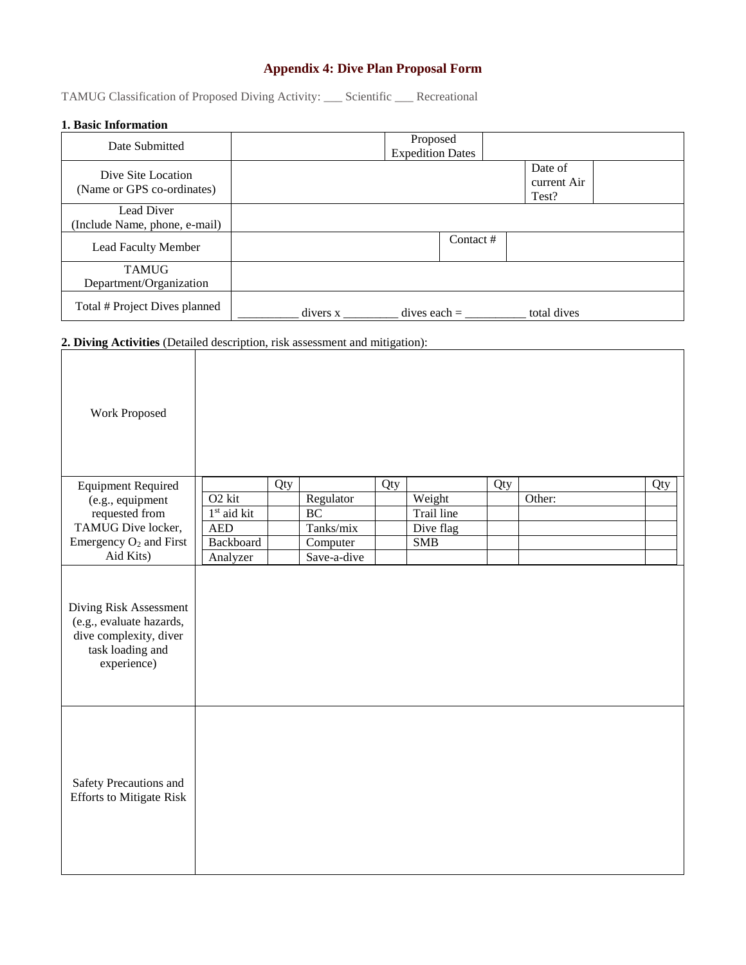# **Appendix 4: Dive Plan Proposal Form**

TAMUG Classification of Proposed Diving Activity: \_\_\_ Scientific \_\_\_ Recreational

# **1. Basic Information**

| Date Submitted                                                               |  |  | Proposed<br><b>Expedition Dates</b> |           |             |                                 |  |
|------------------------------------------------------------------------------|--|--|-------------------------------------|-----------|-------------|---------------------------------|--|
| Dive Site Location<br>(Name or GPS co-ordinates)                             |  |  |                                     |           |             | Date of<br>current Air<br>Test? |  |
| Lead Diver<br>(Include Name, phone, e-mail)                                  |  |  |                                     |           |             |                                 |  |
| Lead Faculty Member                                                          |  |  |                                     | Contact # |             |                                 |  |
| <b>TAMUG</b><br>Department/Organization                                      |  |  |                                     |           |             |                                 |  |
| Total # Project Dives planned                                                |  |  | dives each = $\frac{1}{2}$          |           | total dives |                                 |  |
| 2. Diving Activities (Detailed description, risk assessment and mitigation): |  |  |                                     |           |             |                                 |  |
| Work Proposed                                                                |  |  |                                     |           |             |                                 |  |

| <b>Equipment Required</b> |                         | Qty |             | Oty. |            | Qty |        | Qty |
|---------------------------|-------------------------|-----|-------------|------|------------|-----|--------|-----|
| (e.g., equipment)         | O <sub>2</sub> kit      |     | Regulator   |      | Weight     |     | Other: |     |
| requested from            | 1 <sup>st</sup> aid kit |     | BC          |      | Trail line |     |        |     |
| TAMUG Dive locker,        | <b>AED</b>              |     | Tanks/mix   |      | Dive flag  |     |        |     |
| Emergency $O_2$ and First | Backboard               |     | Computer    |      | <b>SMB</b> |     |        |     |
| Aid Kits)                 | Analyzer                |     | Save-a-dive |      |            |     |        |     |

Diving Risk Assessment (e.g., evaluate hazards, dive complexity, diver task loading and experience)

| task loading and<br>experience)                           |  |  |
|-----------------------------------------------------------|--|--|
| Safety Precautions and<br><b>Efforts to Mitigate Risk</b> |  |  |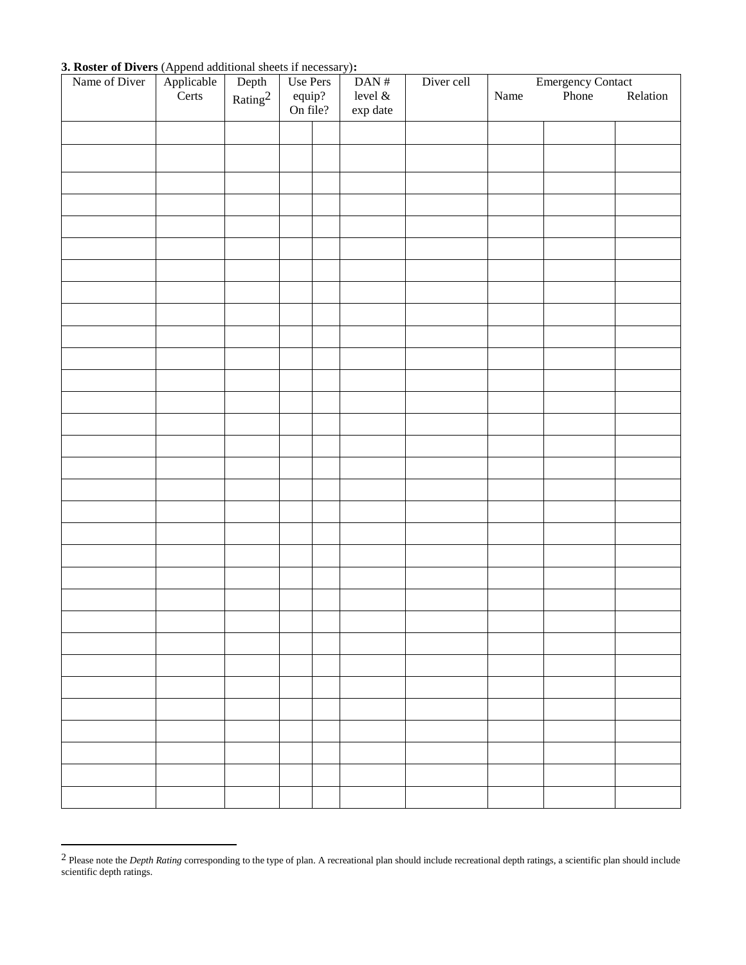### **3. Roster of Divers** (Append additional sheets if necessary)**:**

l

| Name of Diver |                     |                          | Use Pers           | DAN $\#$   | Diver cell | Emergency Contact<br>Phone Relation |  |  |
|---------------|---------------------|--------------------------|--------------------|------------|------------|-------------------------------------|--|--|
|               | Applicable<br>Certs | $\frac{Depth}{Rating^2}$ |                    | level $\&$ |            | Name                                |  |  |
|               |                     |                          | equip?<br>On file? | exp date   |            |                                     |  |  |
|               |                     |                          |                    |            |            |                                     |  |  |
|               |                     |                          |                    |            |            |                                     |  |  |
|               |                     |                          |                    |            |            |                                     |  |  |
|               |                     |                          |                    |            |            |                                     |  |  |
|               |                     |                          |                    |            |            |                                     |  |  |
|               |                     |                          |                    |            |            |                                     |  |  |
|               |                     |                          |                    |            |            |                                     |  |  |
|               |                     |                          |                    |            |            |                                     |  |  |
|               |                     |                          |                    |            |            |                                     |  |  |
|               |                     |                          |                    |            |            |                                     |  |  |
|               |                     |                          |                    |            |            |                                     |  |  |
|               |                     |                          |                    |            |            |                                     |  |  |
|               |                     |                          |                    |            |            |                                     |  |  |
|               |                     |                          |                    |            |            |                                     |  |  |
|               |                     |                          |                    |            |            |                                     |  |  |
|               |                     |                          |                    |            |            |                                     |  |  |
|               |                     |                          |                    |            |            |                                     |  |  |
|               |                     |                          |                    |            |            |                                     |  |  |
|               |                     |                          |                    |            |            |                                     |  |  |
|               |                     |                          |                    |            |            |                                     |  |  |
|               |                     |                          |                    |            |            |                                     |  |  |
|               |                     |                          |                    |            |            |                                     |  |  |
|               |                     |                          |                    |            |            |                                     |  |  |
|               |                     |                          |                    |            |            |                                     |  |  |
|               |                     |                          |                    |            |            |                                     |  |  |
|               |                     |                          |                    |            |            |                                     |  |  |
|               |                     |                          |                    |            |            |                                     |  |  |
|               |                     |                          |                    |            |            |                                     |  |  |
|               |                     |                          |                    |            |            |                                     |  |  |
|               |                     |                          |                    |            |            |                                     |  |  |
|               |                     |                          |                    |            |            |                                     |  |  |
|               |                     |                          |                    |            |            |                                     |  |  |

<sup>&</sup>lt;sup>2</sup> Please note the *Depth Rating* corresponding to the type of plan. A recreational plan should include recreational depth ratings, a scientific plan should include scientific depth ratings.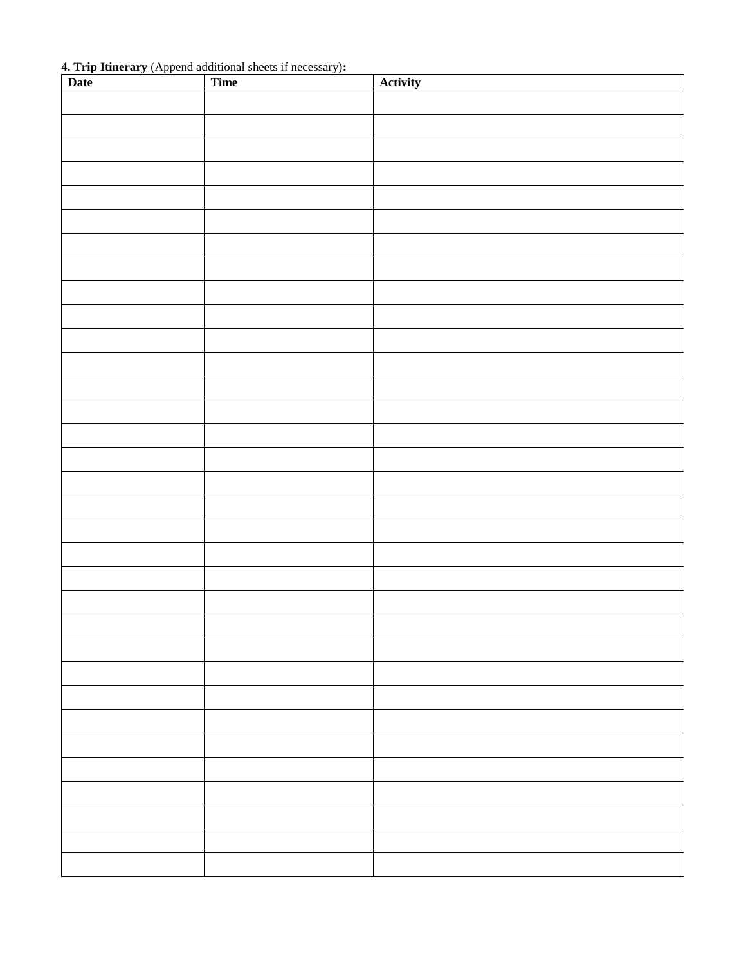**4. Trip Itinerary** (Append additional sheets if necessary)**:**

| Date | Time | Activity |
|------|------|----------|
|      |      |          |
|      |      |          |
|      |      |          |
|      |      |          |
|      |      |          |
|      |      |          |
|      |      |          |
|      |      |          |
|      |      |          |
|      |      |          |
|      |      |          |
|      |      |          |
|      |      |          |
|      |      |          |
|      |      |          |
|      |      |          |
|      |      |          |
|      |      |          |
|      |      |          |
|      |      |          |
|      |      |          |
|      |      |          |
|      |      |          |
|      |      |          |
|      |      |          |
|      |      |          |
|      |      |          |
|      |      |          |
|      |      |          |
|      |      |          |
|      |      |          |
|      |      |          |
|      |      |          |
|      |      |          |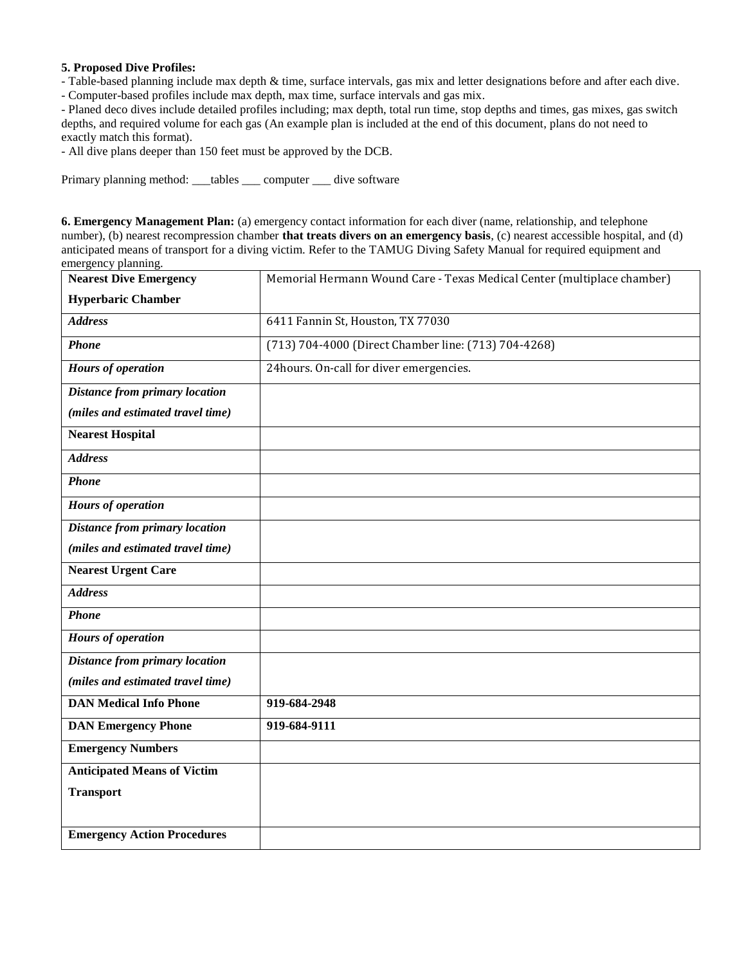#### **5. Proposed Dive Profiles:**

- Table-based planning include max depth & time, surface intervals, gas mix and letter designations before and after each dive.

- Computer-based profiles include max depth, max time, surface intervals and gas mix.

- Planed deco dives include detailed profiles including; max depth, total run time, stop depths and times, gas mixes, gas switch depths, and required volume for each gas (An example plan is included at the end of this document, plans do not need to exactly match this format).

- All dive plans deeper than 150 feet must be approved by the DCB.

Primary planning method: \_\_\_tables \_\_\_ computer \_\_\_ dive software

**6. Emergency Management Plan:** (a) emergency contact information for each diver (name, relationship, and telephone number), (b) nearest recompression chamber **that treats divers on an emergency basis**, (c) nearest accessible hospital, and (d) anticipated means of transport for a diving victim. Refer to the TAMUG Diving Safety Manual for required equipment and emergency planning.

| <b>Nearest Dive Emergency</b>         | Memorial Hermann Wound Care - Texas Medical Center (multiplace chamber) |
|---------------------------------------|-------------------------------------------------------------------------|
| <b>Hyperbaric Chamber</b>             |                                                                         |
| <b>Address</b>                        | 6411 Fannin St, Houston, TX 77030                                       |
| <b>Phone</b>                          | (713) 704-4000 (Direct Chamber line: (713) 704-4268)                    |
| <b>Hours of operation</b>             | 24hours. On-call for diver emergencies.                                 |
| <b>Distance from primary location</b> |                                                                         |
| (miles and estimated travel time)     |                                                                         |
| <b>Nearest Hospital</b>               |                                                                         |
| <b>Address</b>                        |                                                                         |
| <b>Phone</b>                          |                                                                         |
| <b>Hours of operation</b>             |                                                                         |
| <b>Distance from primary location</b> |                                                                         |
| (miles and estimated travel time)     |                                                                         |
| <b>Nearest Urgent Care</b>            |                                                                         |
| <b>Address</b>                        |                                                                         |
| <b>Phone</b>                          |                                                                         |
| <b>Hours of operation</b>             |                                                                         |
| <b>Distance from primary location</b> |                                                                         |
| (miles and estimated travel time)     |                                                                         |
| <b>DAN Medical Info Phone</b>         | 919-684-2948                                                            |
| <b>DAN Emergency Phone</b>            | 919-684-9111                                                            |
| <b>Emergency Numbers</b>              |                                                                         |
| <b>Anticipated Means of Victim</b>    |                                                                         |
| <b>Transport</b>                      |                                                                         |
|                                       |                                                                         |
| <b>Emergency Action Procedures</b>    |                                                                         |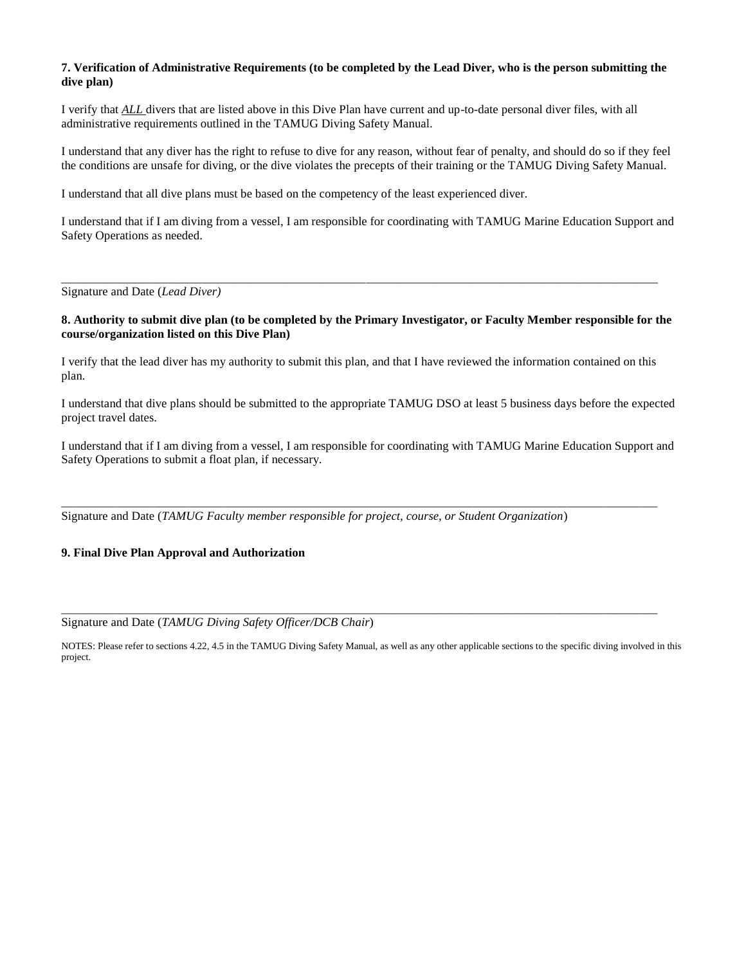#### **7. Verification of Administrative Requirements (to be completed by the Lead Diver, who is the person submitting the dive plan)**

I verify that *ALL* divers that are listed above in this Dive Plan have current and up-to-date personal diver files, with all administrative requirements outlined in the TAMUG Diving Safety Manual.

I understand that any diver has the right to refuse to dive for any reason, without fear of penalty, and should do so if they feel the conditions are unsafe for diving, or the dive violates the precepts of their training or the TAMUG Diving Safety Manual.

I understand that all dive plans must be based on the competency of the least experienced diver.

I understand that if I am diving from a vessel, I am responsible for coordinating with TAMUG Marine Education Support and Safety Operations as needed.

Signature and Date (*Lead Diver)*

#### **8. Authority to submit dive plan (to be completed by the Primary Investigator, or Faculty Member responsible for the course/organization listed on this Dive Plan)**

**\_\_\_\_\_\_\_\_\_\_\_\_\_\_\_\_\_\_\_\_\_\_\_\_\_\_\_\_\_\_\_\_\_\_\_\_\_\_\_\_\_\_\_\_\_\_\_\_\_\_\_\_\_\_\_\_\_\_\_\_\_\_\_\_\_\_\_\_\_\_\_\_\_\_\_\_\_\_\_\_\_\_\_\_\_\_\_\_\_\_\_\_\_\_\_\_\_\_**

I verify that the lead diver has my authority to submit this plan, and that I have reviewed the information contained on this plan.

I understand that dive plans should be submitted to the appropriate TAMUG DSO at least 5 business days before the expected project travel dates.

I understand that if I am diving from a vessel, I am responsible for coordinating with TAMUG Marine Education Support and Safety Operations to submit a float plan, if necessary.

**\_\_\_\_\_\_\_\_\_\_\_\_\_\_\_\_\_\_\_\_\_\_\_\_\_\_\_\_\_\_\_\_\_\_\_\_\_\_\_\_\_\_\_\_\_\_\_\_\_\_\_\_\_\_\_\_\_\_\_\_\_\_\_\_\_\_\_\_\_\_\_\_\_\_\_\_\_\_\_\_\_\_\_\_\_\_\_\_\_\_\_\_\_\_\_\_\_\_**

Signature and Date (*TAMUG Faculty member responsible for project, course, or Student Organization*)

#### **9. Final Dive Plan Approval and Authorization**

Signature and Date (*TAMUG Diving Safety Officer/DCB Chair*)

NOTES: Please refer to sections 4.22, 4.5 in the TAMUG Diving Safety Manual, as well as any other applicable sections to the specific diving involved in this project.

**\_\_\_\_\_\_\_\_\_\_\_\_\_\_\_\_\_\_\_\_\_\_\_\_\_\_\_\_\_\_\_\_\_\_\_\_\_\_\_\_\_\_\_\_\_\_\_\_\_\_\_\_\_\_\_\_\_\_\_\_\_\_\_\_\_\_\_\_\_\_\_\_\_\_\_\_\_\_\_\_\_\_\_\_\_\_\_\_\_\_\_\_\_\_\_\_\_\_**